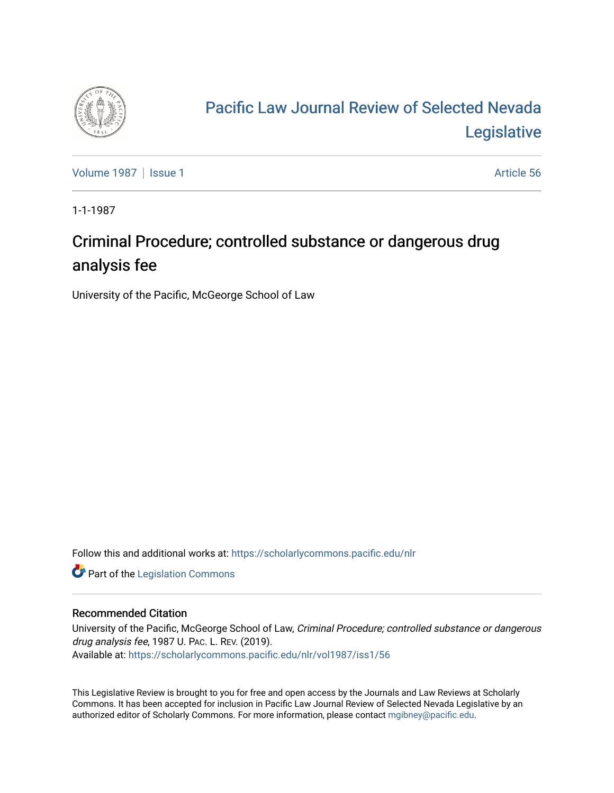

## [Pacific Law Journal Review of Selected Nevada](https://scholarlycommons.pacific.edu/nlr)  [Legislative](https://scholarlycommons.pacific.edu/nlr)

[Volume 1987](https://scholarlycommons.pacific.edu/nlr/vol1987) | [Issue 1](https://scholarlycommons.pacific.edu/nlr/vol1987/iss1) Article 56

1-1-1987

## Criminal Procedure; controlled substance or dangerous drug analysis fee

University of the Pacific, McGeorge School of Law

Follow this and additional works at: [https://scholarlycommons.pacific.edu/nlr](https://scholarlycommons.pacific.edu/nlr?utm_source=scholarlycommons.pacific.edu%2Fnlr%2Fvol1987%2Fiss1%2F56&utm_medium=PDF&utm_campaign=PDFCoverPages) 

**Part of the [Legislation Commons](http://network.bepress.com/hgg/discipline/859?utm_source=scholarlycommons.pacific.edu%2Fnlr%2Fvol1987%2Fiss1%2F56&utm_medium=PDF&utm_campaign=PDFCoverPages)** 

## Recommended Citation

University of the Pacific, McGeorge School of Law, Criminal Procedure; controlled substance or dangerous drug analysis fee, 1987 U. PAC. L. REV. (2019). Available at: [https://scholarlycommons.pacific.edu/nlr/vol1987/iss1/56](https://scholarlycommons.pacific.edu/nlr/vol1987/iss1/56?utm_source=scholarlycommons.pacific.edu%2Fnlr%2Fvol1987%2Fiss1%2F56&utm_medium=PDF&utm_campaign=PDFCoverPages)

This Legislative Review is brought to you for free and open access by the Journals and Law Reviews at Scholarly Commons. It has been accepted for inclusion in Pacific Law Journal Review of Selected Nevada Legislative by an authorized editor of Scholarly Commons. For more information, please contact [mgibney@pacific.edu](mailto:mgibney@pacific.edu).